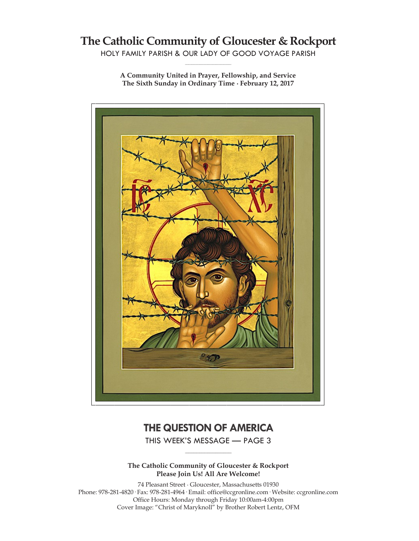# **The Catholic Community of Gloucester & Rockport**

HOLY FAMILY PARISH & OUR LADY OF GOOD VOYAGE PARISH **\_\_\_\_\_\_\_\_\_\_\_\_\_\_\_\_\_\_\_\_\_\_\_\_\_\_\_\_\_**

**A Community United in Prayer, Fellowship, and Service The Sixth Sunday in Ordinary Time ∙ February 12, 2017**



# **THE QUESTION OF AMERICA**

THIS WEEK'S MESSAGE — PAGE 3 **\_\_\_\_\_\_\_\_\_\_\_\_\_\_\_\_\_\_\_\_\_\_\_\_\_\_\_\_\_**

**The Catholic Community of Gloucester & Rockport Please Join Us! All Are Welcome!**

74 Pleasant Street ∙ Gloucester, Massachusetts 01930 Phone: 978-281-4820· Fax: 978-281-4964· Email: office@ccgronline.com· Website: ccgronline.com Office Hours: Monday through Friday 10:00am-4:00pm Cover Image: "Christ of Maryknoll" by Brother Robert Lentz, OFM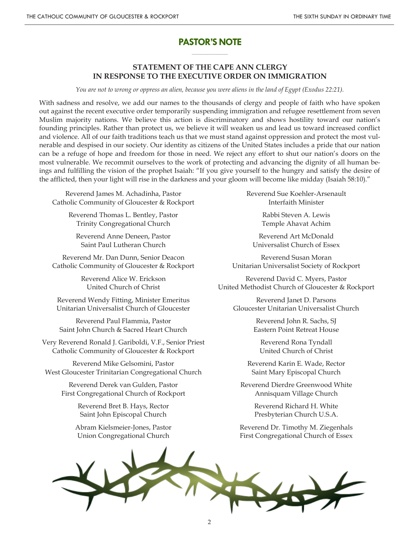# **PASTOR'S NOTE \_\_\_\_\_\_\_\_\_\_\_\_\_\_\_\_\_\_\_\_\_**

### **STATEMENT OF THE CAPE ANN CLERGY IN RESPONSE TO THE EXECUTIVE ORDER ON IMMIGRATION**

*You are not to wrong or oppress an alien, because you were aliens in the land of Egypt (Exodus 22:21).*

With sadness and resolve, we add our names to the thousands of clergy and people of faith who have spoken out against the recent executive order temporarily suspending immigration and refugee resettlement from seven Muslim majority nations. We believe this action is discriminatory and shows hostility toward our nation's founding principles. Rather than protect us, we believe it will weaken us and lead us toward increased conflict and violence. All of our faith traditions teach us that we must stand against oppression and protect the most vulnerable and despised in our society. Our identity as citizens of the United States includes a pride that our nation can be a refuge of hope and freedom for those in need. We reject any effort to shut our nation's doors on the most vulnerable. We recommit ourselves to the work of protecting and advancing the dignity of all human beings and fulfilling the vision of the prophet Isaiah: "If you give yourself to the hungry and satisfy the desire of the afflicted, then your light will rise in the darkness and your gloom will become like midday (Isaiah 58:10)."

Reverend James M. Achadinha, Pastor Catholic Community of Gloucester & Rockport

> Reverend Thomas L. Bentley, Pastor Trinity Congregational Church

Reverend Anne Deneen, Pastor Saint Paul Lutheran Church

Reverend Mr. Dan Dunn, Senior Deacon Catholic Community of Gloucester & Rockport

> Reverend Alice W. Erickson United Church of Christ

Reverend Wendy Fitting, Minister Emeritus Unitarian Universalist Church of Gloucester

Reverend Paul Flammia, Pastor Saint John Church & Sacred Heart Church

Very Reverend Ronald J. Gariboldi, V.F., Senior Priest Catholic Community of Gloucester & Rockport

Reverend Mike Gelsomini, Pastor West Gloucester Trinitarian Congregational Church

> Reverend Derek van Gulden, Pastor First Congregational Church of Rockport

> > Reverend Bret B. Hays, Rector Saint John Episcopal Church

Abram Kielsmeier-Jones, Pastor Union Congregational Church

Reverend Sue Koehler-Arsenault Interfaith Minister

> Rabbi Steven A. Lewis Temple Ahavat Achim

Reverend Art McDonald Universalist Church of Essex

Reverend Susan Moran Unitarian Universalist Society of Rockport

Reverend David C. Myers, Pastor United Methodist Church of Gloucester & Rockport

Reverend Janet D. Parsons Gloucester Unitarian Universalist Church

> Reverend John R. Sachs, SJ Eastern Point Retreat House

Reverend Rona Tyndall United Church of Christ

Reverend Karin E. Wade, Rector Saint Mary Episcopal Church

Reverend Dierdre Greenwood White Annisquam Village Church

> Reverend Richard H. White Presbyterian Church U.S.A.

Reverend Dr. Timothy M. Ziegenhals First Congregational Church of Essex

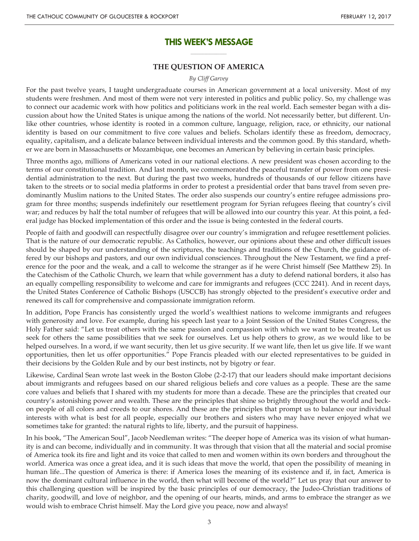### **THIS WEEK'S MESSAGE \_\_\_\_\_\_\_\_\_\_\_\_\_\_\_\_\_\_\_\_\_**

#### **THE QUESTION OF AMERICA**

#### *By Cliff Garvey*

For the past twelve years, I taught undergraduate courses in American government at a local university. Most of my students were freshmen. And most of them were not very interested in politics and public policy. So, my challenge was to connect our academic work with how politics and politicians work in the real world. Each semester began with a discussion about how the United States is unique among the nations of the world. Not necessarily better, but different. Unlike other countries, whose identity is rooted in a common culture, language, religion, race, or ethnicity, our national identity is based on our commitment to five core values and beliefs. Scholars identify these as freedom, democracy, equality, capitalism, and a delicate balance between individual interests and the common good. By this standard, whether we are born in Massachusetts or Mozambique, one becomes an American by believing in certain basic principles.

Three months ago, millions of Americans voted in our national elections. A new president was chosen according to the terms of our constitutional tradition. And last month, we commemorated the peaceful transfer of power from one presidential administration to the next. But during the past two weeks, hundreds of thousands of our fellow citizens have taken to the streets or to social media platforms in order to protest a presidential order that bans travel from seven predominantly Muslim nations to the United States. The order also suspends our country's entire refugee admissions program for three months; suspends indefinitely our resettlement program for Syrian refugees fleeing that country's civil war; and reduces by half the total number of refugees that will be allowed into our country this year. At this point, a federal judge has blocked implementation of this order and the issue is being contested in the federal courts.

People of faith and goodwill can respectfully disagree over our country's immigration and refugee resettlement policies. That is the nature of our democratic republic. As Catholics, however, our opinions about these and other difficult issues should be shaped by our understanding of the scriptures, the teachings and traditions of the Church, the guidance offered by our bishops and pastors, and our own individual consciences. Throughout the New Testament, we find a preference for the poor and the weak, and a call to welcome the stranger as if he were Christ himself (See Matthew 25). In the Catechism of the Catholic Church, we learn that while government has a duty to defend national borders, it also has an equally compelling responsibility to welcome and care for immigrants and refugees (CCC 2241). And in recent days, the United States Conference of Catholic Bishops (USCCB) has strongly objected to the president's executive order and renewed its call for comprehensive and compassionate immigration reform.

In addition, Pope Francis has consistently urged the world's wealthiest nations to welcome immigrants and refugees with generosity and love. For example, during his speech last year to a Joint Session of the United States Congress, the Holy Father said: "Let us treat others with the same passion and compassion with which we want to be treated. Let us seek for others the same possibilities that we seek for ourselves. Let us help others to grow, as we would like to be helped ourselves. In a word, if we want security, then let us give security. If we want life, then let us give life. If we want opportunities, then let us offer opportunities." Pope Francis pleaded with our elected representatives to be guided in their decisions by the Golden Rule and by our best instincts, not by bigotry or fear.

Likewise, Cardinal Sean wrote last week in the Boston Globe (2-2-17) that our leaders should make important decisions about immigrants and refugees based on our shared religious beliefs and core values as a people. These are the same core values and beliefs that I shared with my students for more than a decade. These are the principles that created our country's astonishing power and wealth. These are the principles that shine so brightly throughout the world and beckon people of all colors and creeds to our shores. And these are the principles that prompt us to balance our individual interests with what is best for all people, especially our brothers and sisters who may have never enjoyed what we sometimes take for granted: the natural rights to life, liberty, and the pursuit of happiness.

In his book, "The American Soul", Jacob Needleman writes: "The deeper hope of America was its vision of what humanity is and can become, individually and in community. It was through that vision that all the material and social promise of America took its fire and light and its voice that called to men and women within its own borders and throughout the world. America was once a great idea, and it is such ideas that move the world, that open the possibility of meaning in human life...The question of America is there: if America loses the meaning of its existence and if, in fact, America is now the dominant cultural influence in the world, then what will become of the world?" Let us pray that our answer to this challenging question will be inspired by the basic principles of our democracy, the Judeo-Christian traditions of charity, goodwill, and love of neighbor, and the opening of our hearts, minds, and arms to embrace the stranger as we would wish to embrace Christ himself. May the Lord give you peace, now and always!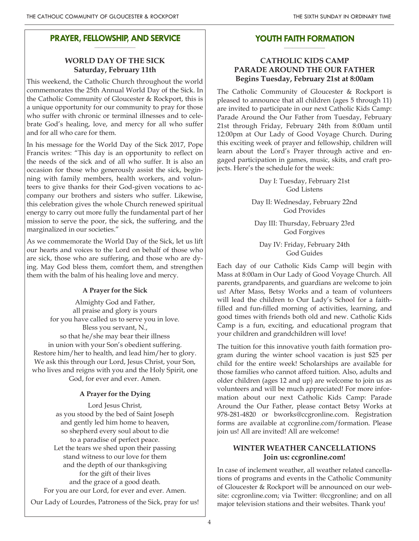#### **PRAYER, FELLOWSHIP, AND SERVICE \_\_\_\_\_\_\_\_\_\_\_\_\_\_\_\_\_\_\_\_**

# **WORLD DAY OF THE SICK Saturday, February 11th**

This weekend, the Catholic Church throughout the world commemorates the 25th Annual World Day of the Sick. In the Catholic Community of Gloucester & Rockport, this is a unique opportunity for our community to pray for those who suffer with chronic or terminal illnesses and to celebrate God's healing, love, and mercy for all who suffer and for all who care for them.

In his message for the World Day of the Sick 2017, Pope Francis writes: "This day is an opportunity to reflect on the needs of the sick and of all who suffer. It is also an occasion for those who generously assist the sick, beginning with family members, health workers, and volunteers to give thanks for their God-given vocations to accompany our brothers and sisters who suffer. Likewise, this celebration gives the whole Church renewed spiritual energy to carry out more fully the fundamental part of her mission to serve the poor, the sick, the suffering, and the marginalized in our societies."

As we commemorate the World Day of the Sick, let us lift our hearts and voices to the Lord on behalf of those who are sick, those who are suffering, and those who are dying. May God bless them, comfort them, and strengthen them with the balm of his healing love and mercy.

# **A Prayer for the Sick**

Almighty God and Father, all praise and glory is yours for you have called us to serve you in love. Bless you servant, N., so that he/she may bear their illness in union with your Son's obedient suffering. Restore him/her to health, and lead him/her to glory. We ask this through our Lord, Jesus Christ, your Son, who lives and reigns with you and the Holy Spirit, one God, for ever and ever. Amen.

# **A Prayer for the Dying**

Lord Jesus Christ, as you stood by the bed of Saint Joseph and gently led him home to heaven, so shepherd every soul about to die to a paradise of perfect peace. Let the tears we shed upon their passing stand witness to our love for them and the depth of our thanksgiving for the gift of their lives and the grace of a good death. For you are our Lord, for ever and ever. Amen.

Our Lady of Lourdes, Patroness of the Sick, pray for us!

#### **YOUTH FAITH FORMATION \_\_\_\_\_\_\_\_\_\_\_\_\_\_\_\_\_\_\_\_**

# **CATHOLIC KIDS CAMP PARADE AROUND THE OUR FATHER Begins Tuesday, February 21st at 8:00am**

The Catholic Community of Gloucester & Rockport is pleased to announce that all children (ages 5 through 11) are invited to participate in our next Catholic Kids Camp: Parade Around the Our Father from Tuesday, February 21st through Friday, February 24th from 8:00am until 12:00pm at Our Lady of Good Voyage Church. During this exciting week of prayer and fellowship, children will learn about the Lord's Prayer through active and engaged participation in games, music, skits, and craft projects. Here's the schedule for the week:

> Day I: Tuesday, February 21st God Listens

Day II: Wednesday, February 22nd God Provides

Day III: Thursday, February 23rd God Forgives

Day IV: Friday, February 24th God Guides

Each day of our Catholic Kids Camp will begin with Mass at 8:00am in Our Lady of Good Voyage Church. All parents, grandparents, and guardians are welcome to join us! After Mass, Betsy Works and a team of volunteers will lead the children to Our Lady's School for a faithfilled and fun-filled morning of activities, learning, and good times with friends both old and new. Catholic Kids Camp is a fun, exciting, and educational program that your children and grandchildren will love!

The tuition for this innovative youth faith formation program during the winter school vacation is just \$25 per child for the entire week! Scholarships are available for those families who cannot afford tuition. Also, adults and older children (ages 12 and up) are welcome to join us as volunteers and will be much appreciated! For more information about our next Catholic Kids Camp: Parade Around the Our Father, please contact Betsy Works at 978-281-4820 or bworks@ccgronline.com. Registration forms are available at ccgronline.com/formation. Please join us! All are invited! All are welcome!

# **WINTER WEATHER CANCELLATIONS Join us: ccgronline.com!**

In case of inclement weather, all weather related cancellations of programs and events in the Catholic Community of Gloucester & Rockport will be announced on our website: ccgronline.com; via Twitter: @ccgronline; and on all major television stations and their websites. Thank you!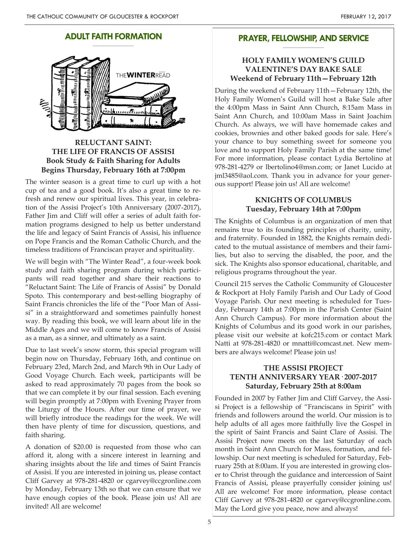#### **ADULT FAITH FORMATION \_\_\_\_\_\_\_\_\_\_\_\_\_\_\_\_\_\_\_\_**



# **RELUCTANT SAINT: THE LIFE OF FRANCIS OF ASSISI Book Study & Faith Sharing for Adults Begins Thursday, February 16th at 7:00pm**

The winter season is a great time to curl up with a hot cup of tea and a good book. It's also a great time to refresh and renew our spiritual lives. This year, in celebration of the Assisi Project's 10th Anniversary (2007-2017), Father Jim and Cliff will offer a series of adult faith formation programs designed to help us better understand the life and legacy of Saint Francis of Assisi, his influence on Pope Francis and the Roman Catholic Church, and the timeless traditions of Franciscan prayer and spirituality.

We will begin with "The Winter Read", a four-week book study and faith sharing program during which participants will read together and share their reactions to "Reluctant Saint: The Life of Francis of Assisi" by Donald Spoto. This contemporary and best-selling biography of Saint Francis chronicles the life of the "Poor Man of Assisi" in a straightforward and sometimes painfully honest way. By reading this book, we will learn about life in the Middle Ages and we will come to know Francis of Assisi as a man, as a sinner, and ultimately as a saint.

Due to last week's snow storm, this special program will begin now on Thursday, February 16th, and continue on February 23rd, March 2nd, and March 9th in Our Lady of Good Voyage Church. Each week, participants will be asked to read approximately 70 pages from the book so that we can complete it by our final session. Each evening will begin promptly at 7:00pm with Evening Prayer from the Liturgy of the Hours. After our time of prayer, we will briefly introduce the readings for the week. We will then have plenty of time for discussion, questions, and faith sharing.

A donation of \$20.00 is requested from those who can afford it, along with a sincere interest in learning and sharing insights about the life and times of Saint Francis of Assisi. If you are interested in joining us, please contact Cliff Garvey at 978-281-4820 or cgarvey@ccgronline.com by Monday, February 13th so that we can ensure that we have enough copies of the book. Please join us! All are invited! All are welcome!

#### **PRAYER, FELLOWSHIP, AND SERVICE \_\_\_\_\_\_\_\_\_\_\_\_\_\_\_\_\_\_\_\_**

### **HOLY FAMILY WOMEN'S GUILD VALENTINE'S DAY BAKE SALE Weekend of February 11th—February 12th**

During the weekend of February 11th—February 12th, the Holy Family Women's Guild will host a Bake Sale after the 4:00pm Mass in Saint Ann Church, 8:15am Mass in Saint Ann Church, and 10:00am Mass in Saint Joachim Church. As always, we will have homemade cakes and cookies, brownies and other baked goods for sale. Here's your chance to buy something sweet for someone you love and to support Holy Family Parish at the same time! For more information, please contact Lydia Bertolino at 978-281-4279 or lbertolino4@msn.com; or Janet Lucido at jml3485@aol.com. Thank you in advance for your generous support! Please join us! All are welcome!

# **KNIGHTS OF COLUMBUS Tuesday, February 14th at 7:00pm**

The Knights of Columbus is an organization of men that remains true to its founding principles of charity, unity, and fraternity. Founded in 1882, the Knights remain dedicated to the mutual assistance of members and their families, but also to serving the disabled, the poor, and the sick. The Knights also sponsor educational, charitable, and religious programs throughout the year.

Council 215 serves the Catholic Community of Gloucester & Rockport at Holy Family Parish and Our Lady of Good Voyage Parish. Our next meeting is scheduled for Tuesday, February 14th at 7:00pm in the Parish Center (Saint Ann Church Campus). For more information about the Knights of Columbus and its good work in our parishes, please visit our website at kofc215.com or contact Mark Natti at 978-281-4820 or mnatti@comcast.net. New members are always welcome! Please join us!

# **THE ASSISI PROJECT TENTH ANNIVERSARY YEAR· 2007-2017 Saturday, February 25th at 8:00am**

Founded in 2007 by Father Jim and Cliff Garvey, the Assisi Project is a fellowship of "Franciscans in Spirit" with friends and followers around the world. Our mission is to help adults of all ages more faithfully live the Gospel in the spirit of Saint Francis and Saint Clare of Assisi. The Assisi Project now meets on the last Saturday of each month in Saint Ann Church for Mass, formation, and fellowship. Our next meeting is scheduled for Saturday, February 25th at 8:00am. If you are interested in growing closer to Christ through the guidance and intercession of Saint Francis of Assisi, please prayerfully consider joining us! All are welcome! For more information, please contact Cliff Garvey at 978-281-4820 or cgarvey@ccgronline.com. May the Lord give you peace, now and always!